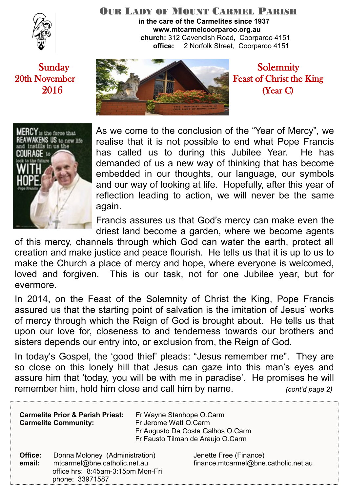

#### OUR LADY OF MOUNT CARMEL PARISH **in the care of the Carmelites since 1937 www.mtcarmelcoorparoo.org.au**

 **church:** 312 Cavendish Road, Coorparoo 4151 **office:** 2 Norfolk Street, Coorparoo 4151





As we come to the conclusion of the "Year of Mercy", we realise that it is not possible to end what Pope Francis has called us to during this Jubilee Year. He has demanded of us a new way of thinking that has become embedded in our thoughts, our language, our symbols and our way of looking at life. Hopefully, after this year of reflection leading to action, we will never be the same again.

Francis assures us that God's mercy can make even the driest land become a garden, where we become agents

of this mercy, channels through which God can water the earth, protect all creation and make justice and peace flourish. He tells us that it is up to us to make the Church a place of mercy and hope, where everyone is welcomed, loved and forgiven. This is our task, not for one Jubilee year, but for evermore.

In 2014, on the Feast of the Solemnity of Christ the King, Pope Francis assured us that the starting point of salvation is the imitation of Jesus' works of mercy through which the Reign of God is brought about. He tells us that upon our love for, closeness to and tenderness towards our brothers and sisters depends our entry into, or exclusion from, the Reign of God.

In today's Gospel, the 'good thief' pleads: "Jesus remember me". They are so close on this lonely hill that Jesus can gaze into this man's eyes and assure him that 'today, you will be with me in paradise'. He promises he will remember him, hold him close and call him by name. *(cont'd page 2)*

| <b>Carmelite Prior &amp; Parish Priest:</b><br><b>Carmelite Community:</b> |                                                                                                                        | Fr Wayne Stanhope O.Carm<br>Fr Jerome Watt O.Carm<br>Fr Augusto Da Costa Galhos O.Carm<br>Fr Fausto Tilman de Araujo O.Carm |                                                                |
|----------------------------------------------------------------------------|------------------------------------------------------------------------------------------------------------------------|-----------------------------------------------------------------------------------------------------------------------------|----------------------------------------------------------------|
| Office:<br>email:                                                          | Donna Moloney (Administration)<br>mtcarmel@bne.catholic.net.au<br>office hrs: 8:45am-3:15pm Mon-Fri<br>phone: 33971587 |                                                                                                                             | Jenette Free (Finance)<br>finance.mtcarmel@bne.catholic.net.au |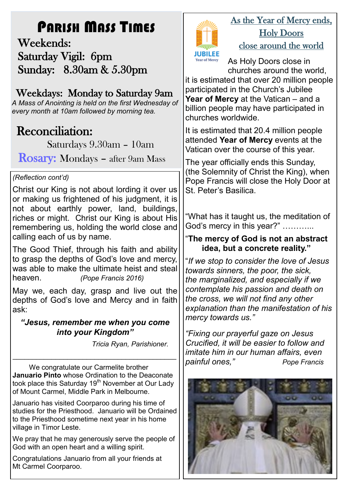# PARISH MASS TIMES

 Weekends: Saturday Vigil: 6pm Sunday: 8.30am & 5.30pm

## Weekdays: Monday to Saturday 9am

*A Mass of Anointing is held on the first Wednesday of every month at 10am followed by morning tea.*

## **Reconciliation:**

Saturdays 9.30am – 10am

Rosary: Mondays – after 9am Mass

### *(Reflection cont'd)*

Christ our King is not about lording it over us or making us frightened of his judgment, it is not about earthly power, land, buildings, riches or might. Christ our King is about His remembering us, holding the world close and calling each of us by name.

The Good Thief, through his faith and ability to grasp the depths of God's love and mercy, was able to make the ultimate heist and steal heaven. *(Pope Francis 2016)*

May we, each day, grasp and live out the depths of God's love and Mercy and in faith ask:

#### *"Jesus, remember me when you come into your Kingdom"*

 *Tricia Ryan, Parishioner.*

We congratulate our Carmelite brother **Januario Pinto** whose Ordination to the Deaconate took place this Saturday 19<sup>th</sup> November at Our Lady of Mount Carmel, Middle Park in Melbourne.

*\_\_\_\_\_\_\_\_\_\_\_\_\_\_\_\_\_\_\_\_\_\_\_\_\_\_\_\_\_\_\_\_\_\_\_\_\_\_\_\_\_\_*

Januario has visited Coorparoo during his time of studies for the Priesthood. Januario will be Ordained to the Priesthood sometime next year in his home village in Timor Leste.

We pray that he may generously serve the people of God with an open heart and a willing spirit.

Congratulations Januario from all your friends at Mt Carmel Coorparoo.



## As the Year of Mercy ends, Holy Doors close around the world

As Holy Doors close in churches around the world,

it is estimated that over 20 million people participated in the Church's Jubilee **Year of Mercy** at the Vatican – and a billion people may have participated in churches worldwide.

It is estimated that 20.4 million people attended **Year of Mercy** events at the Vatican over the course of this year.

The year officially ends this Sunday, (the Solemnity of Christ the King), when Pope Francis will close the Holy Door at St. Peter's Basilica.

"What has it taught us, the meditation of God's mercy in this year?" ............

### "**The mercy of God is not an abstract idea, but a concrete reality."**

"*If we stop to consider the love of Jesus towards sinners, the poor, the sick, the marginalized, and especially if we contemplate his passion and death on the cross, we will not find any other explanation than the manifestation of his mercy towards us."*

*"Fixing our prayerful gaze on Jesus Crucified, it will be easier to follow and imitate him in our human affairs, even painful ones," Pope Francis*

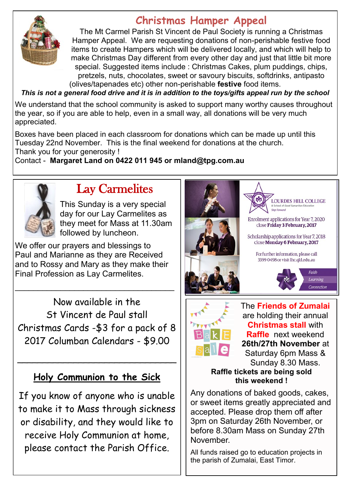

## **Christmas Hamper Appeal**

The Mt Carmel Parish St Vincent de Paul Society is running a Christmas Hamper Appeal. We are requesting donations of non-perishable festive food items to create Hampers which will be delivered locally, and which will help to make Christmas Day different from every other day and just that little bit more special. Suggested items include : Christmas Cakes, plum puddings, chips, pretzels, nuts, chocolates, sweet or savoury biscuits, softdrinks, antipasto (olives/tapenades etc) other non-perishable **festive** food items.

*This is not a general food drive and it is in addition to the toys/gifts appeal run by the school*

We understand that the school community is asked to support many worthy causes throughout the year, so if you are able to help, even in a small way, all donations will be very much appreciated.

Boxes have been placed in each classroom for donations which can be made up until this Tuesday 22nd November. This is the final weekend for donations at the church. Thank you for your generosity !

Contact - **Margaret Land on 0422 011 945 or mland@tpg.com.au** 



## Lay Carmelites

This Sunday is a very special day for our Lay Carmelites as they meet for Mass at 11.30am followed by luncheon.

We offer our prayers and blessings to Paul and Marianne as they are Received and to Rossy and Mary as they make their Final Profession as Lay Carmelites.

\_\_\_\_\_\_\_\_\_\_\_\_\_\_\_\_\_\_\_\_\_\_\_\_\_\_\_\_\_\_\_\_\_\_\_

Now available in the St Vincent de Paul stall Christmas Cards -\$3 for a pack of 8 2017 Columban Calendars - \$9.00

## **Holy Communion to the Sick**

\_\_\_\_\_\_\_\_\_\_\_\_\_\_\_\_\_\_\_\_\_\_\_\_\_\_\_\_\_\_\_

If you know of anyone who is unable to make it to Mass through sickness or disability, and they would like to receive Holy Communion at home, please contact the Parish Office.





The **Friends of Zumalai**  are holding their annual **Christmas stall** with **Raffle** next weekend **26th/27th November** at Saturday 6pm Mass & Sunday 8.30 Mass.

#### **Raffle tickets are being sold this weekend !**

Any donations of baked goods, cakes, or sweet items greatly appreciated and accepted. Please drop them off after 3pm on Saturday 26th November, or before 8.30am Mass on Sunday 27th November.

All funds raised go to education projects in the parish of Zumalai, East Timor.